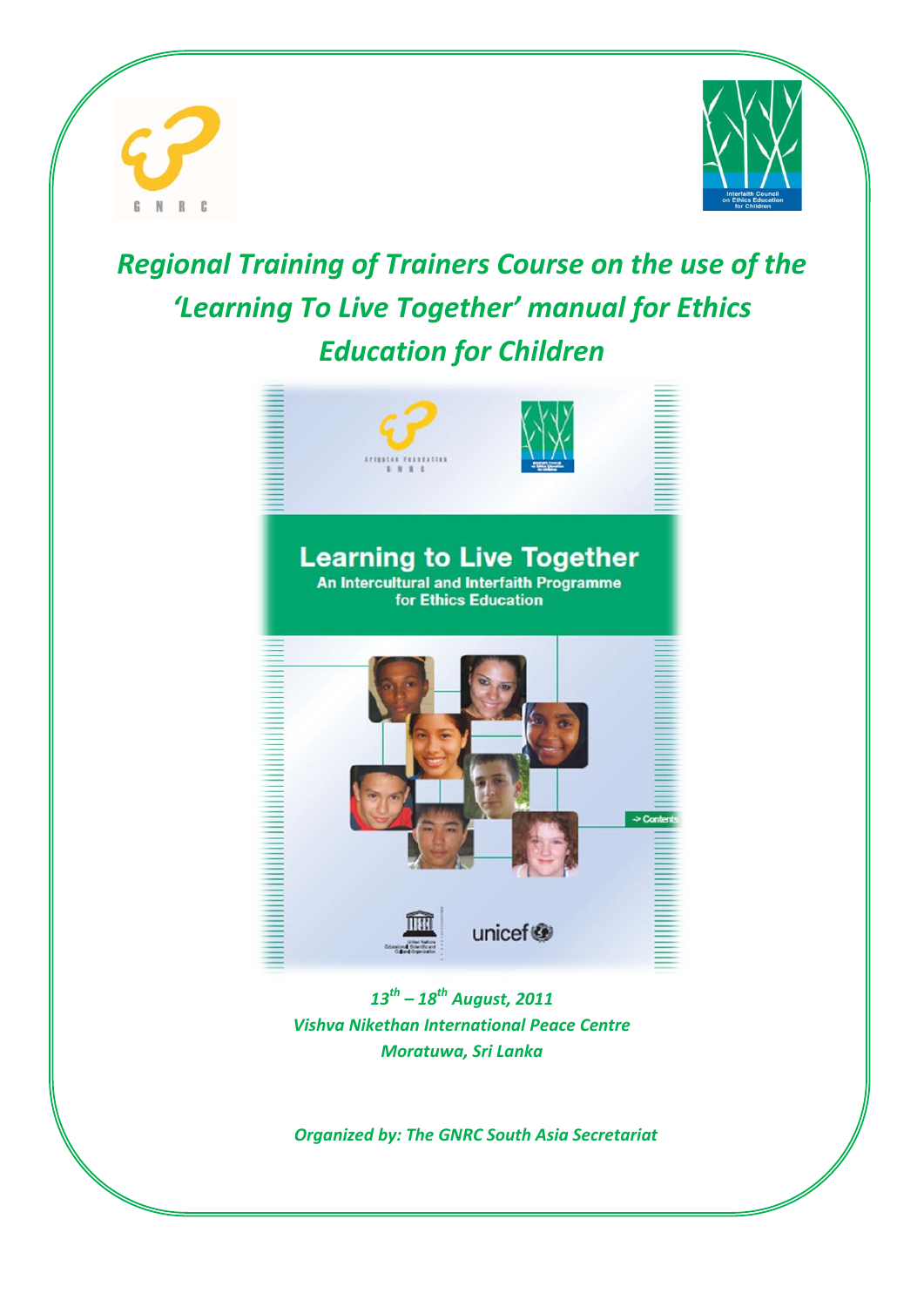





*13th – 18th August, 2011 Vishva Nikethan International Peace Centre Moratuwa, Sri Lanka*

*Organized by: The GNRC South Asia Secretariat*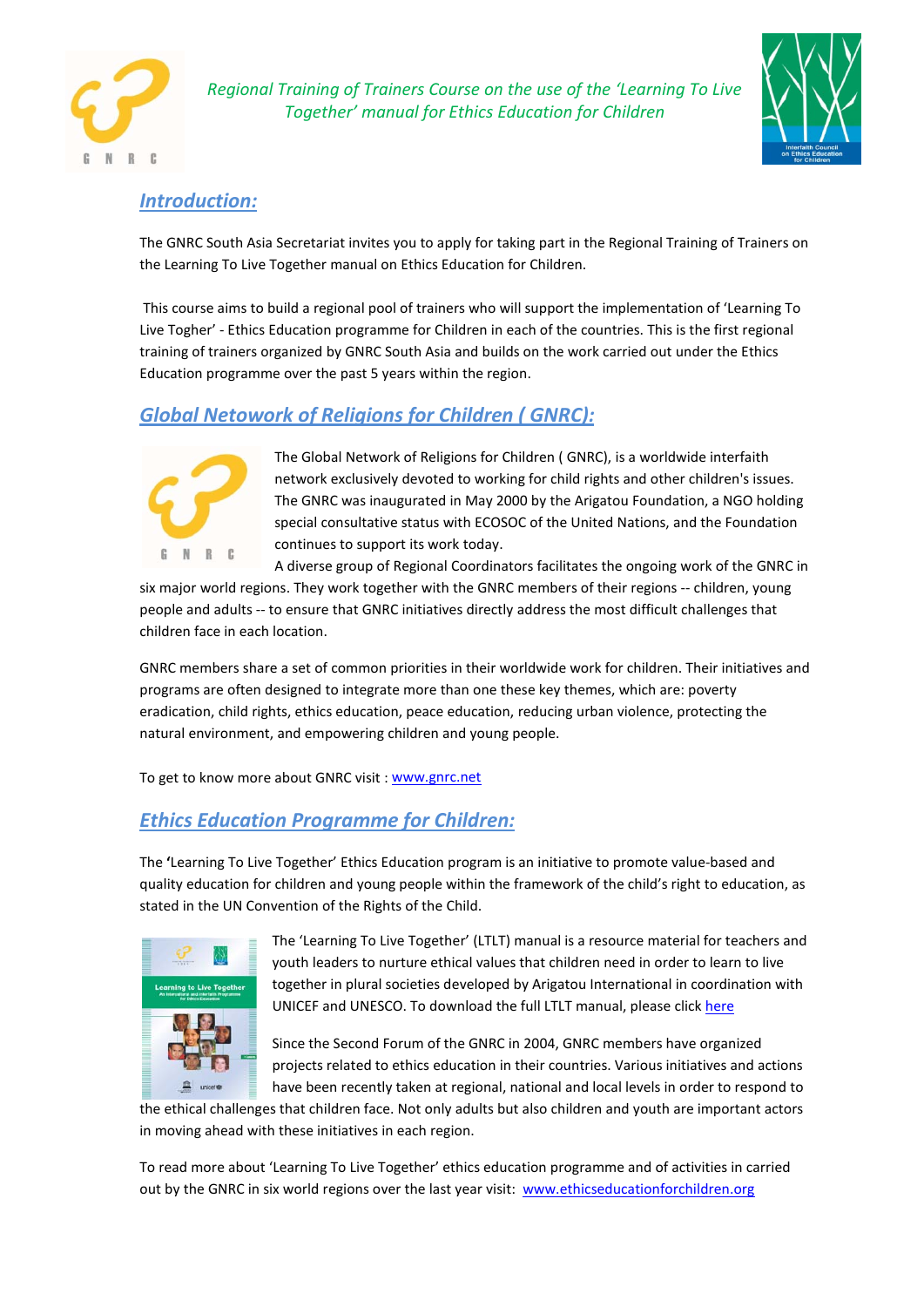



### *Introduction:*

The GNRC South Asia Secretariat invites you to apply for taking part in the Regional Training of Trainers on the Learning To Live Together manual on Ethics Education for Children.

This course aims to build a regional pool of trainers who will support the implementation of 'Learning To Live Togher' - Ethics Education programme for Children in each of the countries. This is the first regional training of trainers organized by GNRC South Asia and builds on the work carried out under the Ethics Education programme over the past 5 years within the region.

# *Global Netowork of Religions for Children ( GNRC):*



The Global Network of Religions for Children ( GNRC), is a worldwide interfaith network exclusively devoted to working for child rights and other children's issues. The GNRC was inaugurated in May 2000 by the Arigatou Foundation, a NGO holding special consultative status with ECOSOC of the United Nations, and the Foundation continues to support its work today.

A diverse group of Regional Coordinators facilitates the ongoing work of the GNRC in six major world regions. They work together with the GNRC members of their regions -- children, young people and adults -- to ensure that GNRC initiatives directly address the most difficult challenges that children face in each location.

GNRC members share a set of common priorities in their worldwide work for children. Their initiatives and programs are often designed to integrate more than one these key themes, which are: poverty eradication, child rights, ethics education, peace education, reducing urban violence, protecting the natural environment, and empowering children and young people.

To get to know more about GNRC visit [: www.gnrc.net](http://www.gnrc.net/)

# *Ethics Education Programme for Children:*

The **'**Learning To Live Together' Ethics Education program is an initiative to promote value-based and quality education for children and young people within the framework of the child's right to education, as stated in the UN Convention of the Rights of the Child.



The 'Learning To Live Together' (LTLT) manual is a resource material for teachers and youth leaders to nurture ethical values that children need in order to learn to live together in plural societies developed by Arigatou International in coordination with UNICEF and UNESCO. To download the full LTLT manual, please clic[k here](http://ethicseducationforchildren.org/mm/file/Learning%20to%20Live%20Together%20En.pdf)

Since the Second Forum of the GNRC in 2004, GNRC members have organized projects related to ethics education in their countries. Various initiatives and actions have been recently taken at regional, national and local levels in order to respond to

the ethical challenges that children face. Not only adults but also children and youth are important actors in moving ahead with these initiatives in each region.

To read more about 'Learning To Live Together' ethics education programme and of activities in carried out by the GNRC in six world regions over the last year visit: [www.ethicseducationforchildren.org](http://www.ethicseducationforchildren.org/)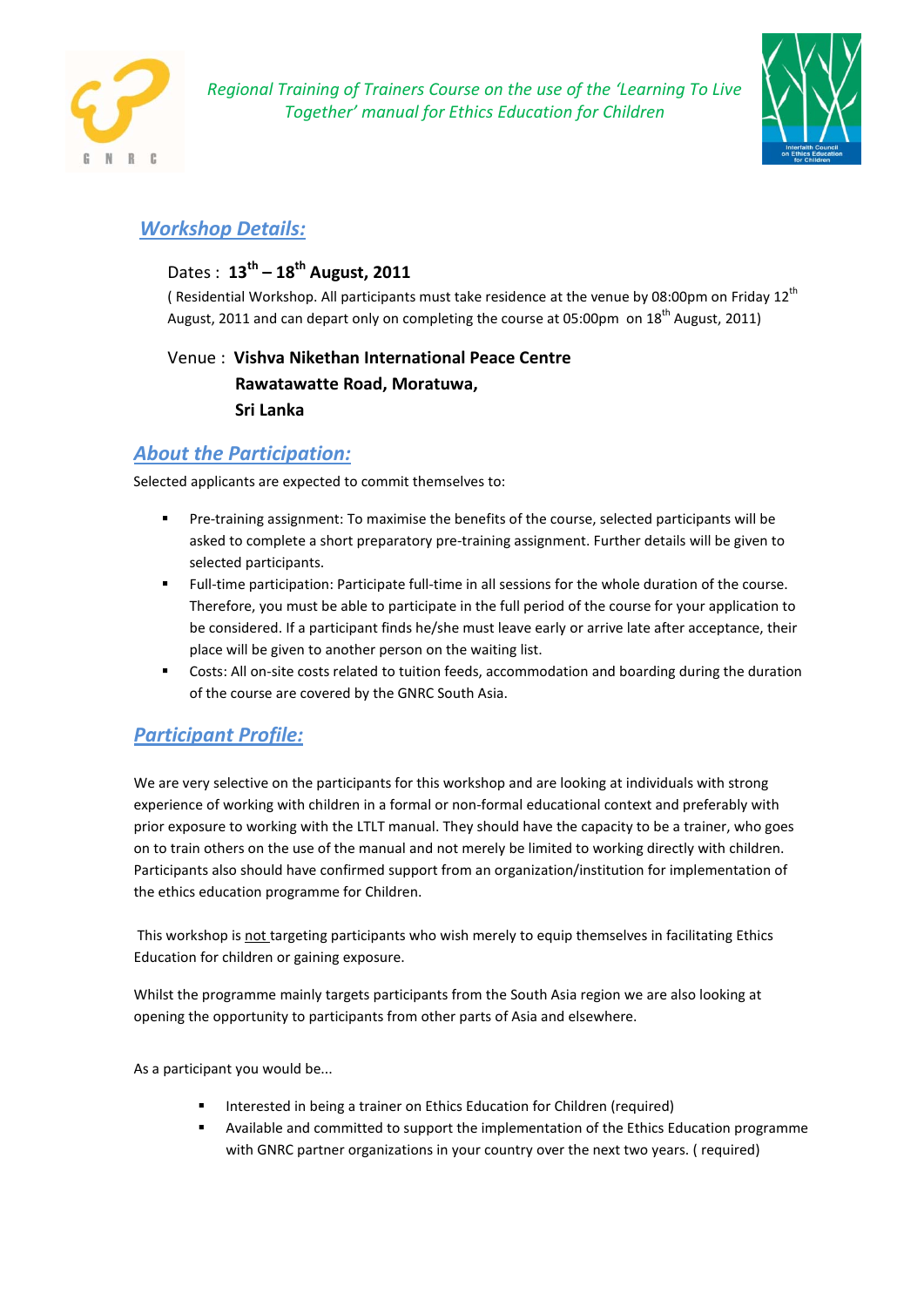



# *Workshop Details:*

# Dates : **13th – 18th August, 2011**

( Residential Workshop. All participants must take residence at the venue by 08:00pm on Friday 12<sup>th</sup> August, 2011 and can depart only on completing the course at 05:00pm on 18<sup>th</sup> August, 2011)

Venue : **Vishva Nikethan International Peace Centre Rawatawatte Road, Moratuwa, Sri Lanka**

## *About the Participation:*

Selected applicants are expected to commit themselves to:

- Pre-training assignment: To maximise the benefits of the course, selected participants will be asked to complete a short preparatory pre-training assignment. Further details will be given to selected participants.
- Full-time participation: Participate full-time in all sessions for the whole duration of the course. Therefore, you must be able to participate in the full period of the course for your application to be considered. If a participant finds he/she must leave early or arrive late after acceptance, their place will be given to another person on the waiting list.
- Costs: All on-site costs related to tuition feeds, accommodation and boarding during the duration of the course are covered by the GNRC South Asia.

# *Participant Profile:*

We are very selective on the participants for this workshop and are looking at individuals with strong experience of working with children in a formal or non-formal educational context and preferably with prior exposure to working with the LTLT manual. They should have the capacity to be a trainer, who goes on to train others on the use of the manual and not merely be limited to working directly with children. Participants also should have confirmed support from an organization/institution for implementation of the ethics education programme for Children.

This workshop is not targeting participants who wish merely to equip themselves in facilitating Ethics Education for children or gaining exposure.

Whilst the programme mainly targets participants from the South Asia region we are also looking at opening the opportunity to participants from other parts of Asia and elsewhere.

As a participant you would be...

- Interested in being a trainer on Ethics Education for Children (required)
- Available and committed to support the implementation of the Ethics Education programme with GNRC partner organizations in your country over the next two years. ( required)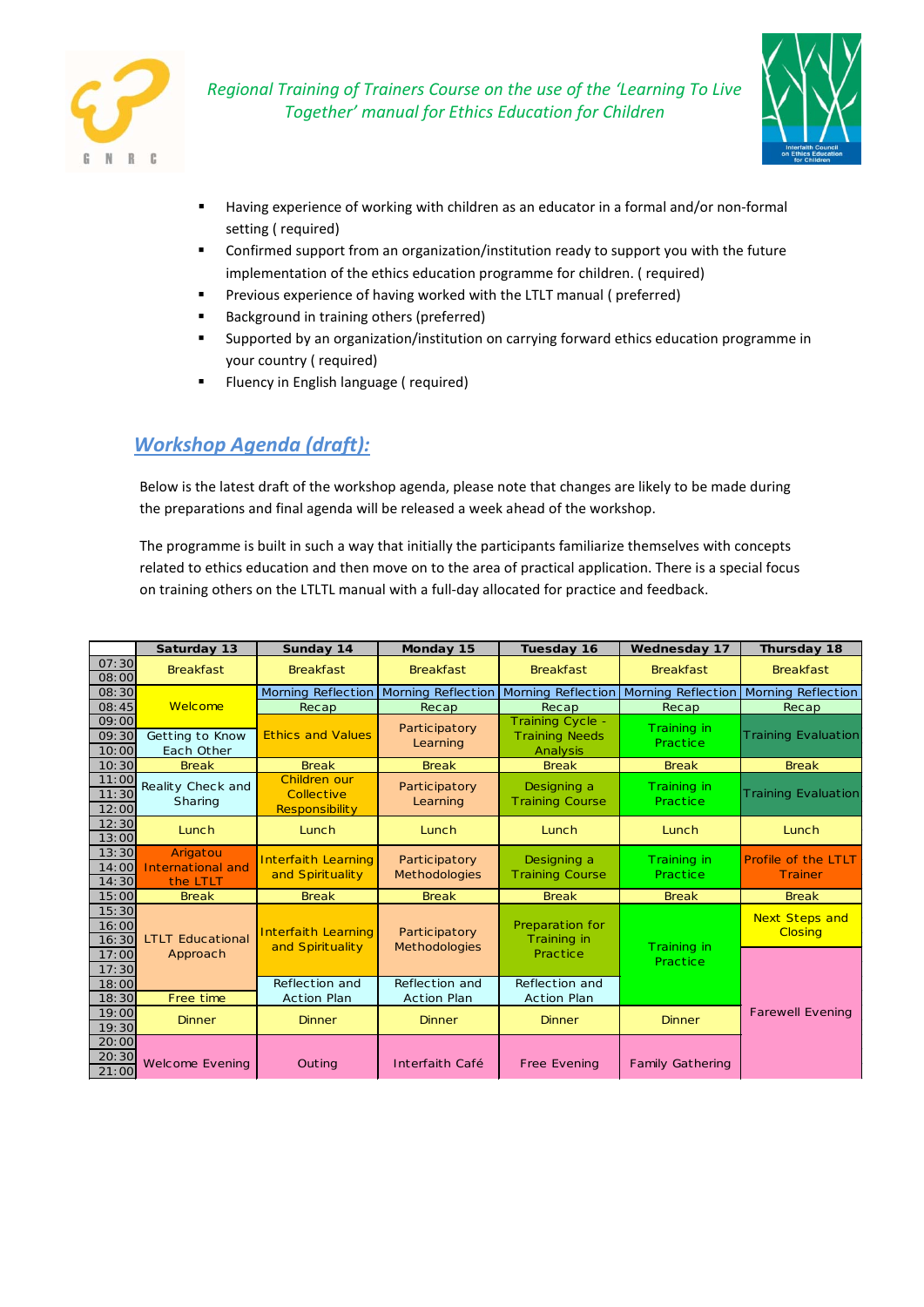



- Having experience of working with children as an educator in a formal and/or non-formal setting ( required)
- Confirmed support from an organization/institution ready to support you with the future implementation of the ethics education programme for children. ( required)
- Previous experience of having worked with the LTLT manual ( preferred)
- Background in training others (preferred)
- Supported by an organization/institution on carrying forward ethics education programme in your country ( required)
- Fluency in English language ( required)

# *Workshop Agenda (draft):*

Below is the latest draft of the workshop agenda, please note that changes are likely to be made during the preparations and final agenda will be released a week ahead of the workshop.

The programme is built in such a way that initially the participants familiarize themselves with concepts related to ethics education and then move on to the area of practical application. There is a special focus on training others on the LTLTL manual with a full-day allocated for practice and feedback.

|                         | Saturday 13                               | Sunday 14                                           | Monday 15                               | Tuesday 16                                                   | <b>Wednesday 17</b>     | Thursday 18                             |
|-------------------------|-------------------------------------------|-----------------------------------------------------|-----------------------------------------|--------------------------------------------------------------|-------------------------|-----------------------------------------|
| 07:30<br>08:00          | <b>Breakfast</b>                          | <b>Breakfast</b>                                    | <b>Breakfast</b>                        | <b>Breakfast</b>                                             | <b>Breakfast</b>        | <b>Breakfast</b>                        |
| 08:30                   |                                           |                                                     | Morning Reflection   Morning Reflection | <b>Morning Reflection</b>                                    |                         | Morning Reflection   Morning Reflection |
| 08:45                   | Welcome                                   | Recap                                               | Recap                                   | Recap                                                        | Recap                   | Recap                                   |
| 09:00<br>09:30<br>10:00 | Getting to Know<br>Each Other             | <b>Ethics and Values</b>                            | <b>Participatory</b><br>Learning        | <b>Training Cycle -</b><br><b>Training Needs</b><br>Analysis | Training in<br>Practice | <b>Training Evaluation</b>              |
| 10:30                   | <b>Break</b>                              | <b>Break</b>                                        | <b>Break</b>                            | <b>Break</b>                                                 | <b>Break</b>            | <b>Break</b>                            |
| 11:00<br>11:30<br>12:00 | Reality Check and<br>Sharing              | Children our<br>Collective<br><b>Responsibility</b> | Participatory<br>Learning               | Designing a<br><b>Training Course</b>                        | Training in<br>Practice | <b>Training Evaluation</b>              |
| 12:30<br>13:00          | Lunch                                     | Lunch                                               | Lunch                                   | Lunch                                                        | Lunch                   | <b>Lunch</b>                            |
| 13:30<br>14:00<br>14:30 | Arigatou<br>International and<br>the LTLT | <b>Interfaith Learning</b><br>and Spirituality      | Participatory<br><b>Methodologies</b>   | Designing a<br><b>Training Course</b>                        | Training in<br>Practice | <b>Profile of the LTLT</b><br>Trainer   |
| 15:00                   | <b>Break</b>                              | <b>Break</b>                                        | <b>Break</b>                            | <b>Break</b>                                                 | <b>Break</b>            | <b>Break</b>                            |
| 15:30<br>16:00<br>16:30 | <b>LTLT Educational</b>                   | <b>Interfaith Learning</b><br>and Spirituality      | Participatory<br><b>Methodologies</b>   | Preparation for<br>Training in                               | Training in             | <b>Next Steps and</b><br><b>Closing</b> |
| 17:00<br>17:30          | Approach                                  |                                                     |                                         | Practice                                                     | Practice                |                                         |
| 18:00                   |                                           | Reflection and                                      | Reflection and                          | Reflection and                                               |                         |                                         |
| 18:30                   | Free time                                 | <b>Action Plan</b>                                  | <b>Action Plan</b>                      | <b>Action Plan</b>                                           |                         |                                         |
| 19:00<br>19:30          | <b>Dinner</b>                             | <b>Dinner</b>                                       | <b>Dinner</b>                           | <b>Dinner</b>                                                | <b>Dinner</b>           | <b>Farewell Evening</b>                 |
| 20:00<br>20:30<br>21:00 | <b>Welcome Evening</b>                    | Outing                                              | Interfaith Café                         | <b>Free Evening</b>                                          | <b>Family Gathering</b> |                                         |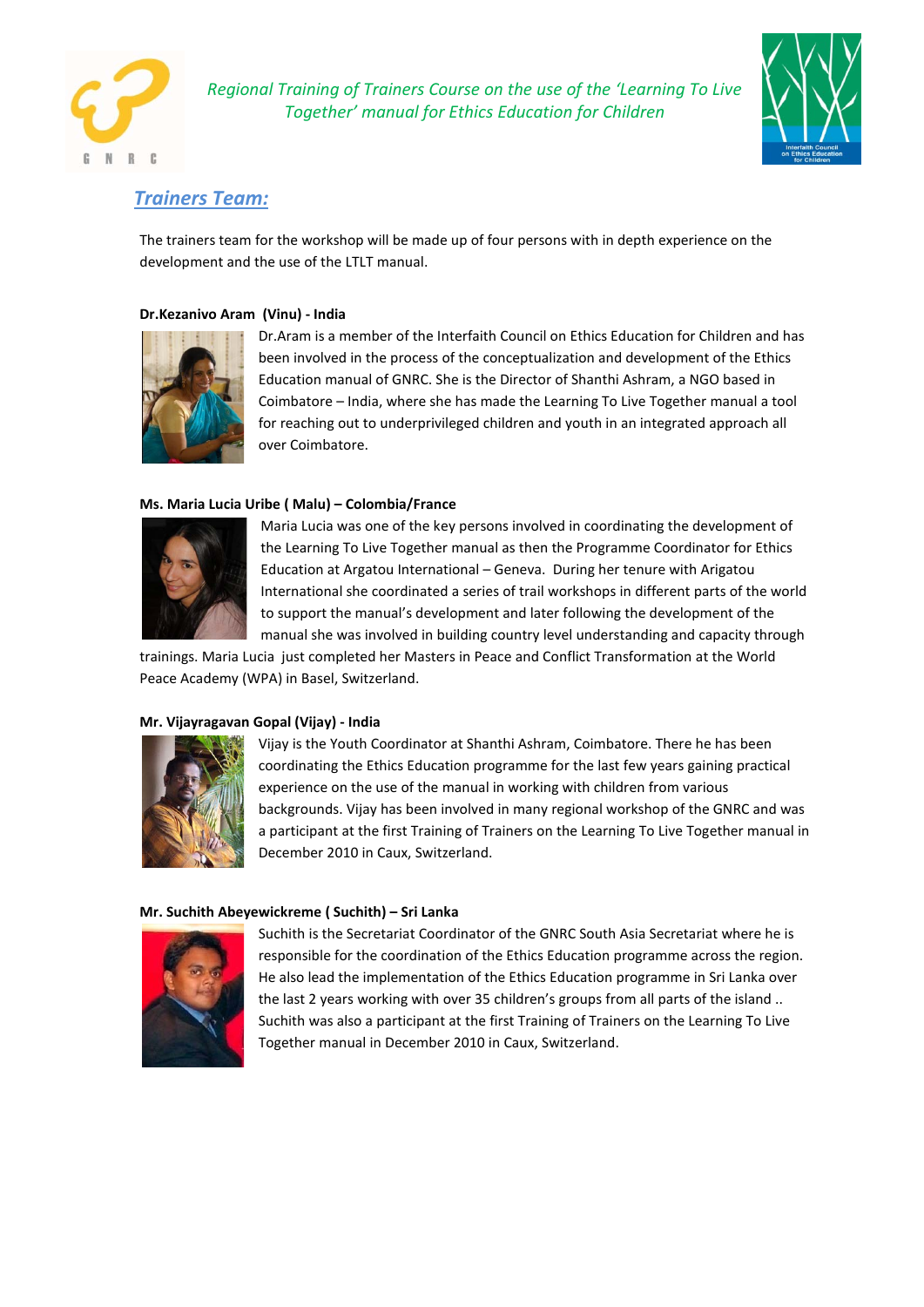



### *Trainers Team:*

The trainers team for the workshop will be made up of four persons with in depth experience on the development and the use of the LTLT manual.

#### **Dr.Kezanivo Aram (Vinu) - India**



Dr.Aram is a member of the Interfaith Council on Ethics Education for Children and has been involved in the process of the conceptualization and development of the Ethics Education manual of GNRC. She is the Director of Shanthi Ashram, a NGO based in Coimbatore – India, where she has made the Learning To Live Together manual a tool for reaching out to underprivileged children and youth in an integrated approach all over Coimbatore.

#### **Ms. Maria Lucia Uribe ( Malu) – Colombia/France**



Maria Lucia was one of the key persons involved in coordinating the development of the Learning To Live Together manual as then the Programme Coordinator for Ethics Education at Argatou International – Geneva. During her tenure with Arigatou International she coordinated a series of trail workshops in different parts of the world to support the manual's development and later following the development of the manual she was involved in building country level understanding and capacity through

trainings. Maria Lucia just completed her Masters in Peace and Conflict Transformation at the World Peace Academy (WPA) in Basel, Switzerland.

#### **Mr. Vijayragavan Gopal (Vijay) - India**



Vijay is the Youth Coordinator at Shanthi Ashram, Coimbatore. There he has been coordinating the Ethics Education programme for the last few years gaining practical experience on the use of the manual in working with children from various backgrounds. Vijay has been involved in many regional workshop of the GNRC and was a participant at the first Training of Trainers on the Learning To Live Together manual in December 2010 in Caux, Switzerland.

#### **Mr. Suchith Abeyewickreme ( Suchith) – Sri Lanka**



Suchith is the Secretariat Coordinator of the GNRC South Asia Secretariat where he is responsible for the coordination of the Ethics Education programme across the region. He also lead the implementation of the Ethics Education programme in Sri Lanka over the last 2 years working with over 35 children's groups from all parts of the island .. Suchith was also a participant at the first Training of Trainers on the Learning To Live Together manual in December 2010 in Caux, Switzerland.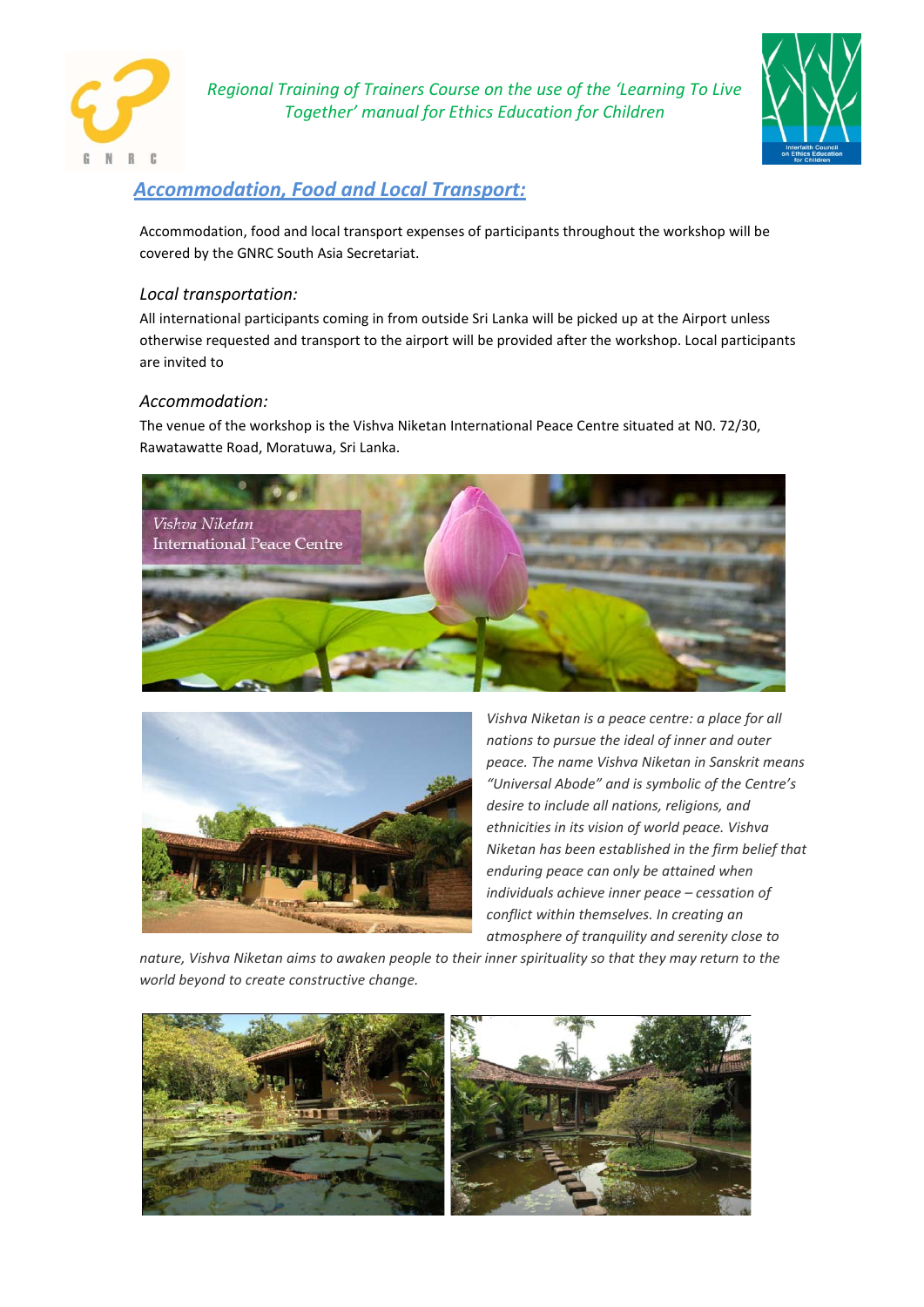



# *Accommodation, Food and Local Transport:*

Accommodation, food and local transport expenses of participants throughout the workshop will be covered by the GNRC South Asia Secretariat.

### *Local transportation:*

All international participants coming in from outside Sri Lanka will be picked up at the Airport unless otherwise requested and transport to the airport will be provided after the workshop. Local participants are invited to

### *Accommodation:*

The venue of the workshop is the Vishva Niketan International Peace Centre situated at N0. 72/30, Rawatawatte Road, Moratuwa, Sri Lanka.





*Vishva Niketan is a peace centre: a place for all nations to pursue the ideal of inner and outer peace. The name Vishva Niketan in Sanskrit means "Universal Abode" and is symbolic of the Centre's desire to include all nations, religions, and ethnicities in its vision of world peace. Vishva Niketan has been established in the firm belief that enduring peace can only be attained when individuals achieve inner peace – cessation of conflict within themselves. In creating an atmosphere of tranquility and serenity close to* 

*nature, Vishva Niketan aims to awaken people to their inner spirituality so that they may return to the world beyond to create constructive change.*